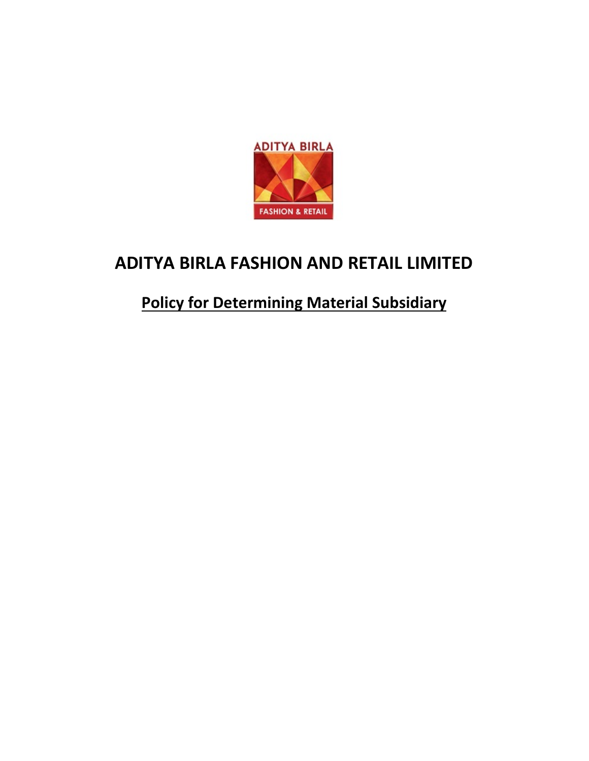

# **ADITYA BIRLA FASHION AND RETAIL LIMITED**

## **Policy for Determining Material Subsidiary**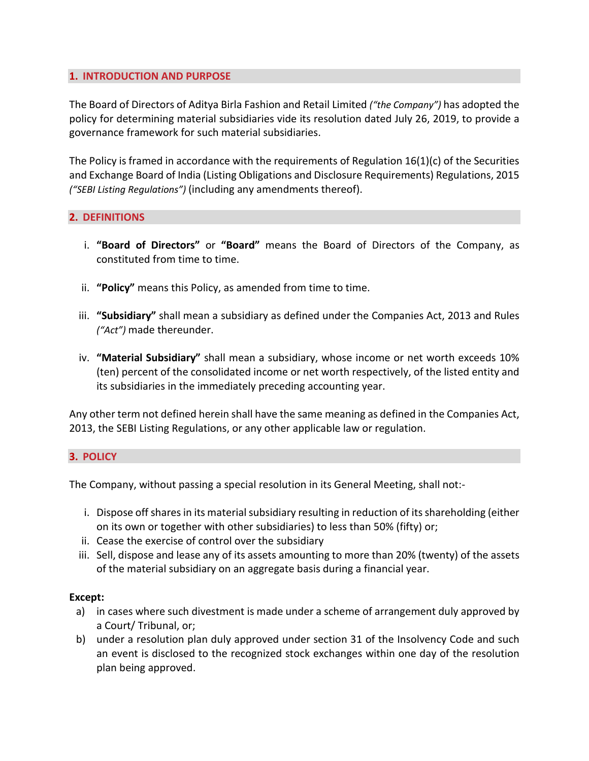### **1. INTRODUCTION AND PURPOSE**

The Board of Directors of Aditya Birla Fashion and Retail Limited *("the Company")* has adopted the policy for determining material subsidiaries vide its resolution dated July 26, 2019, to provide a governance framework for such material subsidiaries.

The Policy is framed in accordance with the requirements of Regulation  $16(1)(c)$  of the Securities and Exchange Board of India (Listing Obligations and Disclosure Requirements) Regulations, 2015 *("SEBI Listing Regulations")* (including any amendments thereof).

#### **2. DEFINITIONS**

- i. **"Board of Directors"** or **"Board"** means the Board of Directors of the Company, as constituted from time to time.
- ii. **"Policy"** means this Policy, as amended from time to time.
- iii. **"Subsidiary"** shall mean a subsidiary as defined under the Companies Act, 2013 and Rules *("Act")* made thereunder.
- iv. **"Material Subsidiary"** shall mean a subsidiary, whose income or net worth exceeds 10% (ten) percent of the consolidated income or net worth respectively, of the listed entity and its subsidiaries in the immediately preceding accounting year.

Any other term not defined herein shall have the same meaning as defined in the Companies Act, 2013, the SEBI Listing Regulations, or any other applicable law or regulation.

#### **3. POLICY**

The Company, without passing a special resolution in its General Meeting, shall not:-

- i. Dispose off shares in its material subsidiary resulting in reduction of its shareholding (either on its own or together with other subsidiaries) to less than 50% (fifty) or;
- ii. Cease the exercise of control over the subsidiary
- iii. Sell, dispose and lease any of its assets amounting to more than 20% (twenty) of the assets of the material subsidiary on an aggregate basis during a financial year.

#### **Except:**

- a) in cases where such divestment is made under a scheme of arrangement duly approved by a Court/ Tribunal, or;
- b) under a resolution plan duly approved under section 31 of the Insolvency Code and such an event is disclosed to the recognized stock exchanges within one day of the resolution plan being approved.